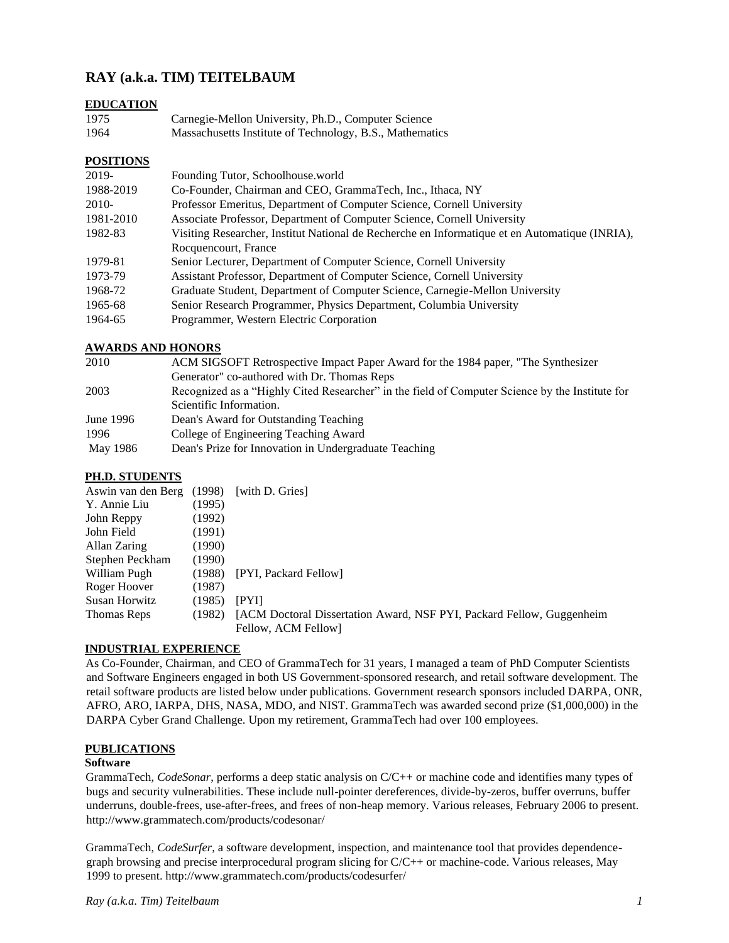# **RAY (a.k.a. TIM) TEITELBAUM**

# **EDUCATION**

| 1975 | Carnegie-Mellon University, Ph.D., Computer Science      |
|------|----------------------------------------------------------|
| 1964 | Massachusetts Institute of Technology, B.S., Mathematics |

# **POSITIONS**

| Founding Tutor, Schoolhouse world                                                              |
|------------------------------------------------------------------------------------------------|
| Co-Founder, Chairman and CEO, GrammaTech, Inc., Ithaca, NY                                     |
| Professor Emeritus, Department of Computer Science, Cornell University                         |
| Associate Professor, Department of Computer Science, Cornell University                        |
| Visiting Researcher, Institut National de Recherche en Informatique et en Automatique (INRIA), |
| Rocquencourt, France                                                                           |
| Senior Lecturer, Department of Computer Science, Cornell University                            |
| Assistant Professor, Department of Computer Science, Cornell University                        |
| Graduate Student, Department of Computer Science, Carnegie-Mellon University                   |
| Senior Research Programmer, Physics Department, Columbia University                            |
| Programmer, Western Electric Corporation                                                       |
|                                                                                                |

# **AWARDS AND HONORS**

| 2010      | ACM SIGSOFT Retrospective Impact Paper Award for the 1984 paper, "The Synthesizer               |
|-----------|-------------------------------------------------------------------------------------------------|
|           | Generator" co-authored with Dr. Thomas Reps                                                     |
| 2003      | Recognized as a "Highly Cited Researcher" in the field of Computer Science by the Institute for |
|           | Scientific Information.                                                                         |
| June 1996 | Dean's Award for Outstanding Teaching                                                           |
| 1996      | College of Engineering Teaching Award                                                           |
| May 1986  | Dean's Prize for Innovation in Undergraduate Teaching                                           |
|           |                                                                                                 |

# **PH.D. STUDENTS**

| Aswin van den Berg (1998) [with D. Gries] |        |                                                                       |
|-------------------------------------------|--------|-----------------------------------------------------------------------|
| Y. Annie Liu                              | (1995) |                                                                       |
| John Reppy                                | (1992) |                                                                       |
| John Field                                | (1991) |                                                                       |
| Allan Zaring                              | (1990) |                                                                       |
| Stephen Peckham                           | (1990) |                                                                       |
| William Pugh                              | (1988) | [PYI, Packard Fellow]                                                 |
| Roger Hoover                              | (1987) |                                                                       |
| Susan Horwitz                             | (1985) | IPYII                                                                 |
| Thomas Reps                               | (1982) | [ACM Doctoral Dissertation Award, NSF PYI, Packard Fellow, Guggenheim |
|                                           |        | Fellow, ACM Fellow                                                    |

# **INDUSTRIAL EXPERIENCE**

As Co-Founder, Chairman, and CEO of GrammaTech for 31 years, I managed a team of PhD Computer Scientists and Software Engineers engaged in both US Government-sponsored research, and retail software development. The retail software products are listed below under publications. Government research sponsors included DARPA, ONR, AFRO, ARO, IARPA, DHS, NASA, MDO, and NIST. GrammaTech was awarded second prize (\$1,000,000) in the DARPA Cyber Grand Challenge. Upon my retirement, GrammaTech had over 100 employees.

# **PUBLICATIONS**

## **Software**

GrammaTech, *CodeSonar*, performs a deep static analysis on C/C++ or machine code and identifies many types of bugs and security vulnerabilities. These include null-pointer dereferences, divide-by-zeros, buffer overruns, buffer underruns, double-frees, use-after-frees, and frees of non-heap memory. Various releases, February 2006 to present. http://www.grammatech.com/products/codesonar/

GrammaTech, *CodeSurfer,* a software development, inspection, and maintenance tool that provides dependencegraph browsing and precise interprocedural program slicing for C/C++ or machine-code. Various releases, May 1999 to present. http://www.grammatech.com/products/codesurfer/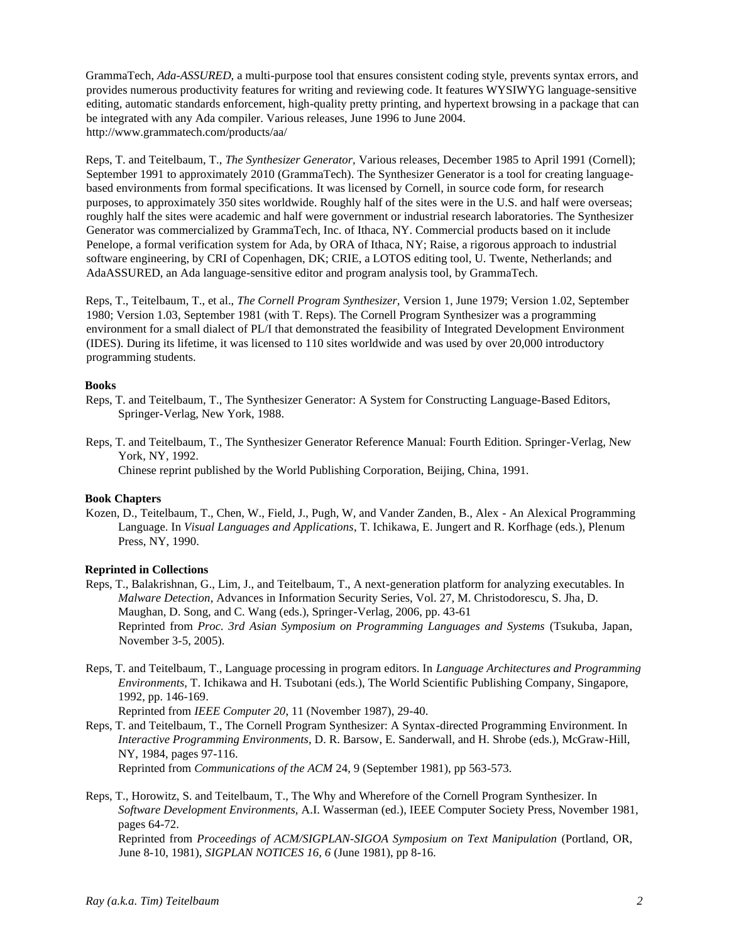GrammaTech, *Ada-ASSURED,* a multi-purpose tool that ensures consistent coding style, prevents syntax errors, and provides numerous productivity features for writing and reviewing code. It features WYSIWYG language-sensitive editing, automatic standards enforcement, high-quality pretty printing, and hypertext browsing in a package that can be integrated with any Ada compiler. Various releases, June 1996 to June 2004. http://www.grammatech.com/products/aa/

Reps, T. and Teitelbaum, T., *The Synthesizer Generator,* Various releases, December 1985 to April 1991 (Cornell); September 1991 to approximately 2010 (GrammaTech). The Synthesizer Generator is a tool for creating languagebased environments from formal specifications. It was licensed by Cornell, in source code form, for research purposes, to approximately 350 sites worldwide. Roughly half of the sites were in the U.S. and half were overseas; roughly half the sites were academic and half were government or industrial research laboratories. The Synthesizer Generator was commercialized by GrammaTech, Inc. of Ithaca, NY. Commercial products based on it include Penelope, a formal verification system for Ada, by ORA of Ithaca, NY; Raise, a rigorous approach to industrial software engineering, by CRI of Copenhagen, DK; CRIE, a LOTOS editing tool, U. Twente, Netherlands; and AdaASSURED, an Ada language-sensitive editor and program analysis tool, by GrammaTech.

Reps, T., Teitelbaum, T., et al., *The Cornell Program Synthesizer,* Version 1, June 1979; Version 1.02, September 1980; Version 1.03, September 1981 (with T. Reps). The Cornell Program Synthesizer was a programming environment for a small dialect of PL/I that demonstrated the feasibility of Integrated Development Environment (IDES). During its lifetime, it was licensed to 110 sites worldwide and was used by over 20,000 introductory programming students.

## **Books**

- Reps, T. and Teitelbaum, T., The Synthesizer Generator: A System for Constructing Language-Based Editors, Springer-Verlag, New York, 1988.
- Reps, T. and Teitelbaum, T., The Synthesizer Generator Reference Manual: Fourth Edition. Springer-Verlag, New York, NY, 1992.

Chinese reprint published by the World Publishing Corporation, Beijing, China, 1991.

#### **Book Chapters**

Kozen, D., Teitelbaum, T., Chen, W., Field, J., Pugh, W, and Vander Zanden, B., Alex - An Alexical Programming Language. In *Visual Languages and Applications*, T. Ichikawa, E. Jungert and R. Korfhage (eds.), Plenum Press, NY, 1990.

# **Reprinted in Collections**

- Reps, T., Balakrishnan, G., Lim, J., and Teitelbaum, T., A next-generation platform for analyzing executables. In *Malware Detection*, Advances in Information Security Series, Vol. 27, M. Christodorescu, S. Jha, D. Maughan, D. Song, and C. Wang (eds.), Springer-Verlag, 2006, pp. 43-61 Reprinted from *Proc. 3rd Asian Symposium on Programming Languages and Systems* (Tsukuba, Japan, November 3-5, 2005).
- Reps, T. and Teitelbaum, T., Language processing in program editors. In *Language Architectures and Programming Environments*, T. Ichikawa and H. Tsubotani (eds.), The World Scientific Publishing Company, Singapore, 1992, pp. 146-169.

Reprinted from *IEEE Computer 20*, 11 (November 1987), 29-40.

Reps, T. and Teitelbaum, T., The Cornell Program Synthesizer: A Syntax-directed Programming Environment. In *Interactive Programming Environments*, D. R. Barsow, E. Sanderwall, and H. Shrobe (eds.), McGraw-Hill, NY, 1984, pages 97-116.

Reprinted from *Communications of the ACM* 24, 9 (September 1981), pp 563-573.

Reps, T., Horowitz, S. and Teitelbaum, T., The Why and Wherefore of the Cornell Program Synthesizer. In *Software Development Environments,* A.I. Wasserman (ed.), IEEE Computer Society Press, November 1981, pages 64-72.

Reprinted from *Proceedings of ACM/SIGPLAN-SIGOA Symposium on Text Manipulation* (Portland, OR, June 8-10, 1981), *SIGPLAN NOTICES 16, 6* (June 1981), pp 8-16.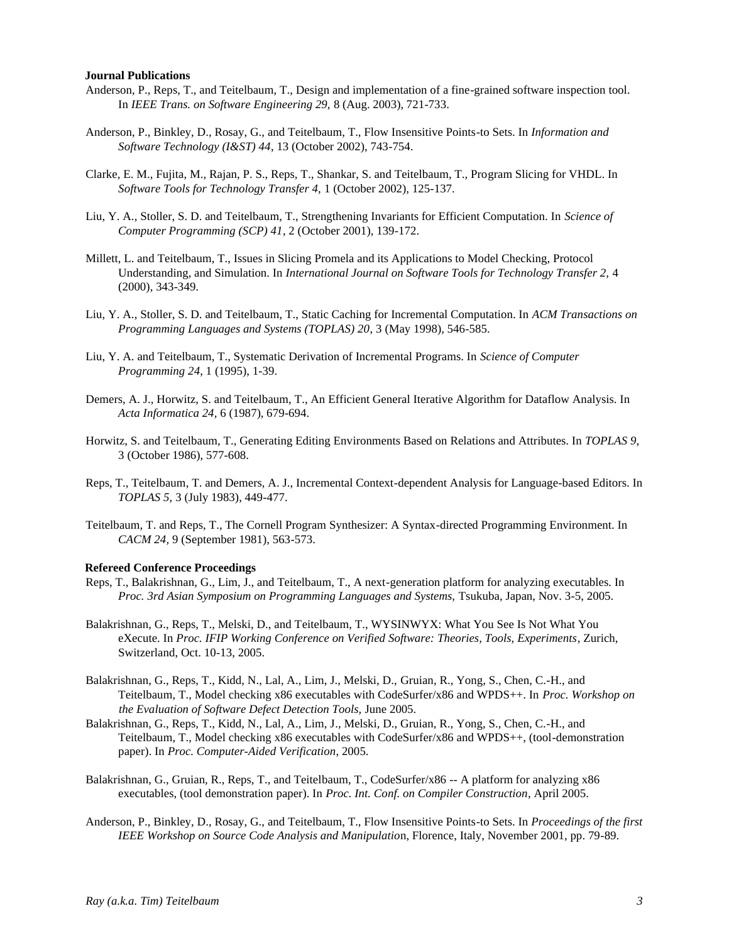#### **Journal Publications**

- Anderson, P., Reps, T., and Teitelbaum, T., Design and implementation of a fine-grained software inspection tool. In *IEEE Trans. on Software Engineering 29,* 8 (Aug. 2003), 721-733.
- Anderson, P., Binkley, D., Rosay, G., and Teitelbaum, T., Flow Insensitive Points-to Sets. In *Information and Software Technology (I&ST) 44*, 13 (October 2002), 743-754.
- Clarke, E. M., Fujita, M., Rajan, P. S., Reps, T., Shankar, S. and Teitelbaum, T., Program Slicing for VHDL. In *Software Tools for Technology Transfer 4,* 1 (October 2002), 125-137.
- Liu, Y. A., Stoller, S. D. and Teitelbaum, T., Strengthening Invariants for Efficient Computation. In *Science of Computer Programming (SCP) 41*, 2 (October 2001), 139-172.
- Millett, L. and Teitelbaum, T., Issues in Slicing Promela and its Applications to Model Checking, Protocol Understanding, and Simulation. In *International Journal on Software Tools for Technology Transfer 2,* 4 (2000), 343-349.
- Liu, Y. A., Stoller, S. D. and Teitelbaum, T., Static Caching for Incremental Computation. In *ACM Transactions on Programming Languages and Systems (TOPLAS) 20*, 3 (May 1998), 546-585.
- Liu, Y. A. and Teitelbaum, T., Systematic Derivation of Incremental Programs. In *Science of Computer Programming 24*, 1 (1995), 1-39.
- Demers, A. J., Horwitz, S. and Teitelbaum, T., An Efficient General Iterative Algorithm for Dataflow Analysis. In *Acta Informatica 24,* 6 (1987), 679-694.
- Horwitz, S. and Teitelbaum, T., Generating Editing Environments Based on Relations and Attributes. In *TOPLAS 9*, 3 (October 1986), 577-608.
- Reps, T., Teitelbaum, T. and Demers, A. J., Incremental Context-dependent Analysis for Language-based Editors. In *TOPLAS 5,* 3 (July 1983), 449-477.
- Teitelbaum, T. and Reps, T., The Cornell Program Synthesizer: A Syntax-directed Programming Environment. In *CACM 24,* 9 (September 1981), 563-573.

#### **Refereed Conference Proceedings**

- Reps, T., Balakrishnan, G., Lim, J., and Teitelbaum, T., A next-generation platform for analyzing executables. In *Proc. 3rd Asian Symposium on Programming Languages and Systems,* Tsukuba, Japan, Nov. 3-5, 2005.
- Balakrishnan, G., Reps, T., Melski, D., and Teitelbaum, T., WYSINWYX: What You See Is Not What You eXecute. In *Proc. IFIP Working Conference on Verified Software: Theories, Tools, Experiments*, Zurich, Switzerland, Oct. 10-13, 2005.
- Balakrishnan, G., Reps, T., Kidd, N., Lal, A., Lim, J., Melski, D., Gruian, R., Yong, S., Chen, C.-H., and Teitelbaum, T., Model checking x86 executables with CodeSurfer/x86 and WPDS++. In *Proc. Workshop on the Evaluation of Software Defect Detection Tools,* June 2005.
- Balakrishnan, G., Reps, T., Kidd, N., Lal, A., Lim, J., Melski, D., Gruian, R., Yong, S., Chen, C.-H., and Teitelbaum, T., Model checking x86 executables with CodeSurfer/x86 and WPDS++, (tool-demonstration paper). In *Proc. Computer-Aided Verification*, 2005.
- Balakrishnan, G., Gruian, R., Reps, T., and Teitelbaum, T., CodeSurfer/x86 -- A platform for analyzing x86 executables, (tool demonstration paper). In *Proc. Int. Conf. on Compiler Construction*, April 2005.
- Anderson, P., Binkley, D., Rosay, G., and Teitelbaum, T., Flow Insensitive Points-to Sets. In *Proceedings of the first IEEE Workshop on Source Code Analysis and Manipulatio*n, Florence, Italy, November 2001, pp. 79-89.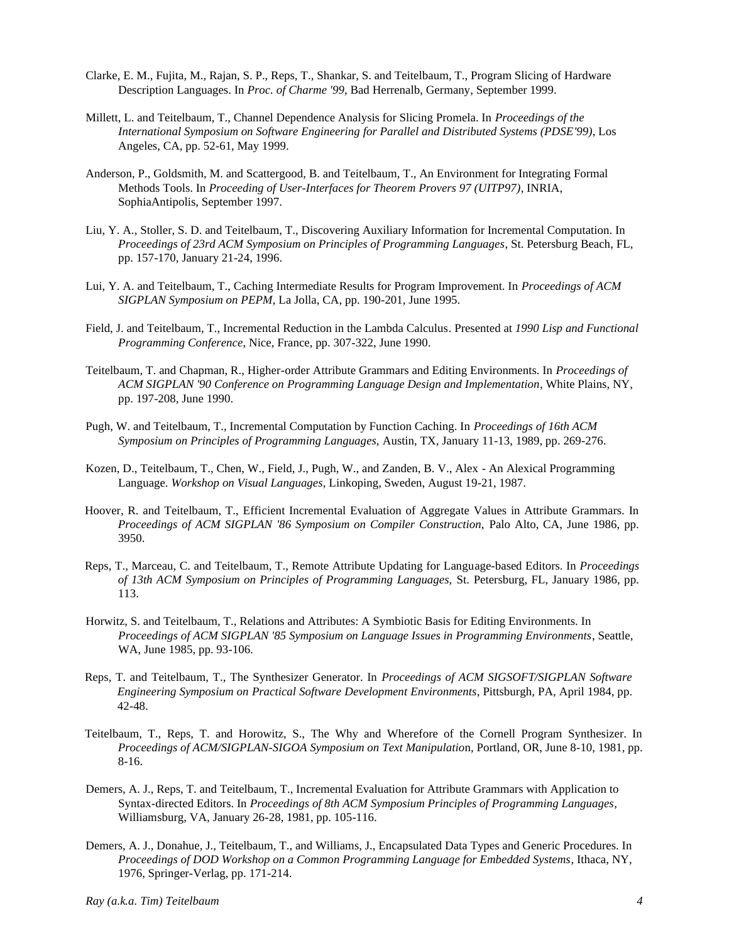- Clarke, E. M., Fujita, M., Rajan, S. P., Reps, T., Shankar, S. and Teitelbaum, T., Program Slicing of Hardware Description Languages. In *Proc. of Charme '99*, Bad Herrenalb, Germany, September 1999.
- Millett, L. and Teitelbaum, T., Channel Dependence Analysis for Slicing Promela. In *Proceedings of the International Symposium on Software Engineering for Parallel and Distributed Systems (PDSE'99)*, Los Angeles, CA, pp. 52-61, May 1999.
- Anderson, P., Goldsmith, M. and Scattergood, B. and Teitelbaum, T., An Environment for Integrating Formal Methods Tools. In *Proceeding of User-Interfaces for Theorem Provers 97 (UITP97)*, INRIA, SophiaAntipolis, September 1997.
- Liu, Y. A., Stoller, S. D. and Teitelbaum, T., Discovering Auxiliary Information for Incremental Computation. In *Proceedings of 23rd ACM Symposium on Principles of Programming Languages*, St. Petersburg Beach, FL, pp. 157-170, January 21-24, 1996.
- Lui, Y. A. and Teitelbaum, T., Caching Intermediate Results for Program Improvement. In *Proceedings of ACM SIGPLAN Symposium on PEPM*, La Jolla, CA, pp. 190-201, June 1995.
- Field, J. and Teitelbaum, T., Incremental Reduction in the Lambda Calculus. Presented at *1990 Lisp and Functional Programming Conference*, Nice, France, pp. 307-322, June 1990.
- Teitelbaum, T. and Chapman, R., Higher-order Attribute Grammars and Editing Environments. In *Proceedings of ACM SIGPLAN '90 Conference on Programming Language Design and Implementation*, White Plains, NY, pp. 197-208, June 1990.
- Pugh, W. and Teitelbaum, T., Incremental Computation by Function Caching. In *Proceedings of 16th ACM Symposium on Principles of Programming Languages,* Austin, TX, January 11-13, 1989, pp. 269-276.
- Kozen, D., Teitelbaum, T., Chen, W., Field, J., Pugh, W., and Zanden, B. V., Alex An Alexical Programming Language. *Workshop on Visual Languages*, Linkoping, Sweden, August 19-21, 1987.
- Hoover, R. and Teitelbaum, T., Efficient Incremental Evaluation of Aggregate Values in Attribute Grammars. In *Proceedings of ACM SIGPLAN '86 Symposium on Compiler Construction,* Palo Alto, CA, June 1986, pp. 3950.
- Reps, T., Marceau, C. and Teitelbaum, T., Remote Attribute Updating for Language-based Editors. In *Proceedings of 13th ACM Symposium on Principles of Programming Languages,* St. Petersburg, FL, January 1986, pp. 113.
- Horwitz, S. and Teitelbaum, T., Relations and Attributes: A Symbiotic Basis for Editing Environments. In *Proceedings of ACM SIGPLAN '85 Symposium on Language Issues in Programming Environments*, Seattle, WA, June 1985, pp. 93-106.
- Reps, T. and Teitelbaum, T., The Synthesizer Generator. In *Proceedings of ACM SIGSOFT/SIGPLAN Software Engineering Symposium on Practical Software Development Environments*, Pittsburgh, PA, April 1984, pp. 42-48.
- Teitelbaum, T., Reps, T. and Horowitz, S., The Why and Wherefore of the Cornell Program Synthesizer. In *Proceedings of ACM/SIGPLAN-SIGOA Symposium on Text Manipulatio*n, Portland, OR, June 8-10, 1981, pp. 8-16.
- Demers, A. J., Reps, T. and Teitelbaum, T., Incremental Evaluation for Attribute Grammars with Application to Syntax-directed Editors. In *Proceedings of 8th ACM Symposium Principles of Programming Languages*, Williamsburg, VA, January 26-28, 1981, pp. 105-116.
- Demers, A. J., Donahue, J., Teitelbaum, T., and Williams, J., Encapsulated Data Types and Generic Procedures. In *Proceedings of DOD Workshop on a Common Programming Language for Embedded Systems*, Ithaca, NY, 1976, Springer-Verlag, pp. 171-214.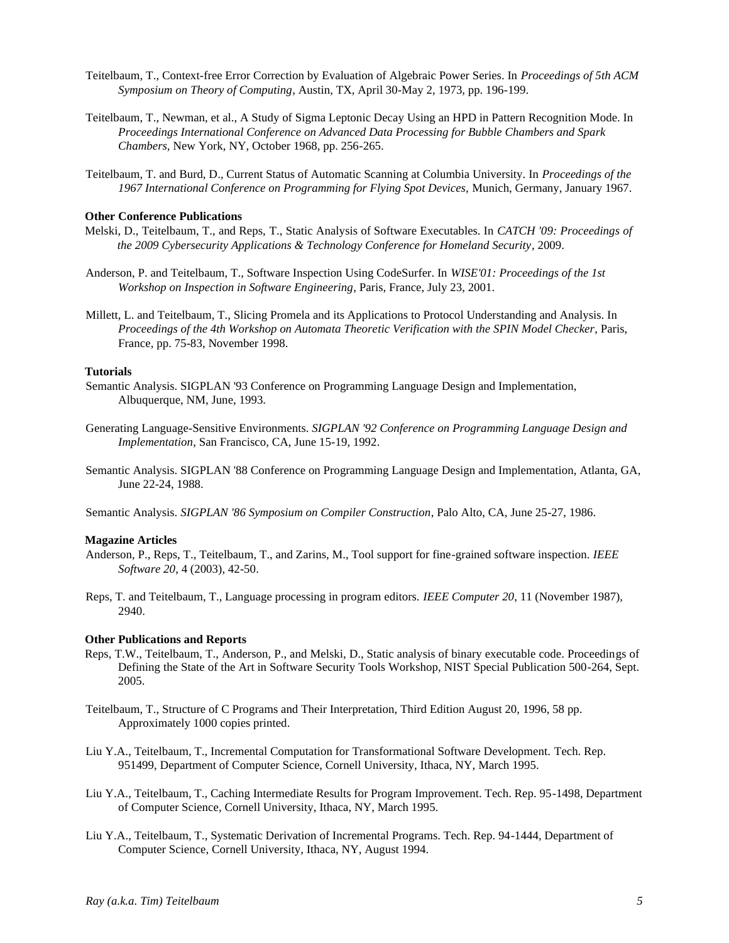- Teitelbaum, T., Context-free Error Correction by Evaluation of Algebraic Power Series. In *Proceedings of 5th ACM Symposium on Theory of Computing*, Austin, TX, April 30-May 2, 1973, pp. 196-199.
- Teitelbaum, T., Newman, et al., A Study of Sigma Leptonic Decay Using an HPD in Pattern Recognition Mode. In *Proceedings International Conference on Advanced Data Processing for Bubble Chambers and Spark Chambers,* New York, NY, October 1968, pp. 256-265.
- Teitelbaum, T. and Burd, D., Current Status of Automatic Scanning at Columbia University. In *Proceedings of the 1967 International Conference on Programming for Flying Spot Devices,* Munich, Germany, January 1967.

#### **Other Conference Publications**

- Melski, D., Teitelbaum, T., and Reps, T., Static Analysis of Software Executables. In *CATCH '09: Proceedings of the 2009 Cybersecurity Applications & Technology Conference for Homeland Security*, 2009.
- Anderson, P. and Teitelbaum, T., Software Inspection Using CodeSurfer. In *WISE'01: Proceedings of the 1st Workshop on Inspection in Software Engineering*, Paris, France, July 23, 2001.
- Millett, L. and Teitelbaum, T., Slicing Promela and its Applications to Protocol Understanding and Analysis. In *Proceedings of the 4th Workshop on Automata Theoretic Verification with the SPIN Model Checker*, Paris, France, pp. 75-83, November 1998.

## **Tutorials**

- Semantic Analysis. SIGPLAN '93 Conference on Programming Language Design and Implementation, Albuquerque, NM, June, 1993.
- Generating Language-Sensitive Environments. *SIGPLAN '92 Conference on Programming Language Design and Implementation*, San Francisco, CA, June 15-19, 1992.
- Semantic Analysis. SIGPLAN '88 Conference on Programming Language Design and Implementation, Atlanta, GA, June 22-24, 1988.

Semantic Analysis. *SIGPLAN '86 Symposium on Compiler Construction*, Palo Alto, CA, June 25-27, 1986.

#### **Magazine Articles**

- Anderson, P., Reps, T., Teitelbaum, T., and Zarins, M., Tool support for fine-grained software inspection. *IEEE Software 20*, 4 (2003), 42-50.
- Reps, T. and Teitelbaum, T., Language processing in program editors. *IEEE Computer 20*, 11 (November 1987), 2940.

## **Other Publications and Reports**

- Reps, T.W., Teitelbaum, T., Anderson, P., and Melski, D., Static analysis of binary executable code. Proceedings of Defining the State of the Art in Software Security Tools Workshop, NIST Special Publication 500-264, Sept. 2005.
- Teitelbaum, T., Structure of C Programs and Their Interpretation, Third Edition August 20, 1996, 58 pp. Approximately 1000 copies printed.
- Liu Y.A., Teitelbaum, T., Incremental Computation for Transformational Software Development. Tech. Rep. 951499, Department of Computer Science, Cornell University, Ithaca, NY, March 1995.
- Liu Y.A., Teitelbaum, T., Caching Intermediate Results for Program Improvement. Tech. Rep. 95-1498, Department of Computer Science, Cornell University, Ithaca, NY, March 1995.
- Liu Y.A., Teitelbaum, T., Systematic Derivation of Incremental Programs. Tech. Rep. 94-1444, Department of Computer Science, Cornell University, Ithaca, NY, August 1994.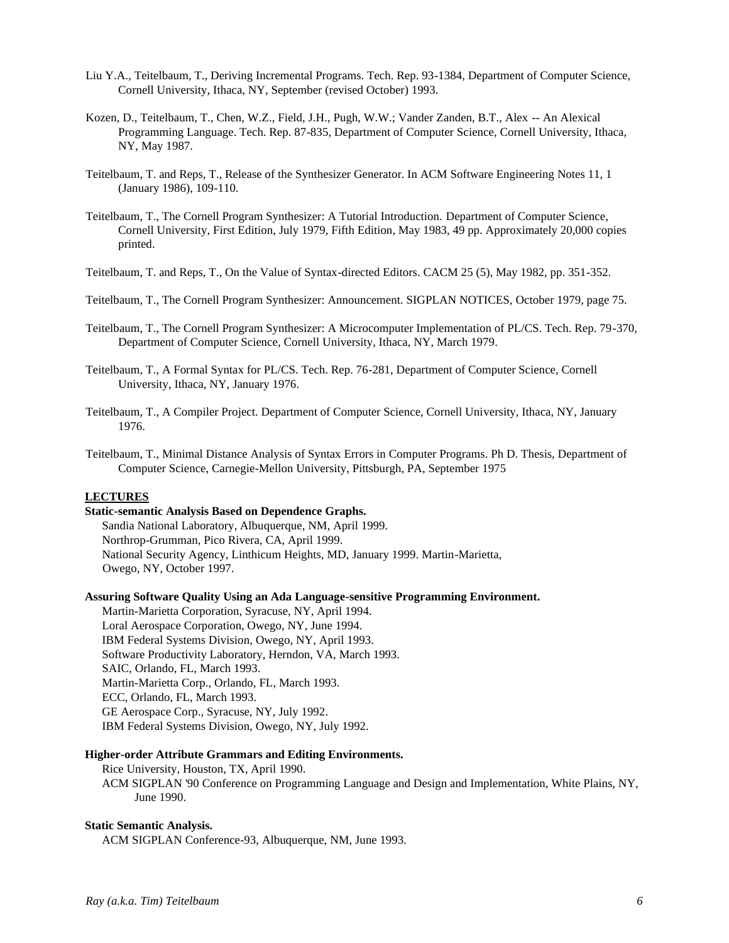- Liu Y.A., Teitelbaum, T., Deriving Incremental Programs. Tech. Rep. 93-1384, Department of Computer Science, Cornell University, Ithaca, NY, September (revised October) 1993.
- Kozen, D., Teitelbaum, T., Chen, W.Z., Field, J.H., Pugh, W.W.; Vander Zanden, B.T., Alex -- An Alexical Programming Language. Tech. Rep. 87-835, Department of Computer Science, Cornell University, Ithaca, NY, May 1987.
- Teitelbaum, T. and Reps, T., Release of the Synthesizer Generator. In ACM Software Engineering Notes 11, 1 (January 1986), 109-110.
- Teitelbaum, T., The Cornell Program Synthesizer: A Tutorial Introduction. Department of Computer Science, Cornell University, First Edition, July 1979, Fifth Edition, May 1983, 49 pp. Approximately 20,000 copies printed.
- Teitelbaum, T. and Reps, T., On the Value of Syntax-directed Editors. CACM 25 (5), May 1982, pp. 351-352.

Teitelbaum, T., The Cornell Program Synthesizer: Announcement. SIGPLAN NOTICES, October 1979, page 75.

- Teitelbaum, T., The Cornell Program Synthesizer: A Microcomputer Implementation of PL/CS. Tech. Rep. 79-370, Department of Computer Science, Cornell University, Ithaca, NY, March 1979.
- Teitelbaum, T., A Formal Syntax for PL/CS. Tech. Rep. 76-281, Department of Computer Science, Cornell University, Ithaca, NY, January 1976.
- Teitelbaum, T., A Compiler Project. Department of Computer Science, Cornell University, Ithaca, NY, January 1976.
- Teitelbaum, T., Minimal Distance Analysis of Syntax Errors in Computer Programs. Ph D. Thesis, Department of Computer Science, Carnegie-Mellon University, Pittsburgh, PA, September 1975

# **LECTURES**

# **Static-semantic Analysis Based on Dependence Graphs.**

Sandia National Laboratory, Albuquerque, NM, April 1999. Northrop-Grumman, Pico Rivera, CA, April 1999. National Security Agency, Linthicum Heights, MD, January 1999. Martin-Marietta, Owego, NY, October 1997.

#### **Assuring Software Quality Using an Ada Language-sensitive Programming Environment.**

Martin-Marietta Corporation, Syracuse, NY, April 1994. Loral Aerospace Corporation, Owego, NY, June 1994. IBM Federal Systems Division, Owego, NY, April 1993. Software Productivity Laboratory, Herndon, VA, March 1993. SAIC, Orlando, FL, March 1993. Martin-Marietta Corp., Orlando, FL, March 1993. ECC, Orlando, FL, March 1993. GE Aerospace Corp., Syracuse, NY, July 1992. IBM Federal Systems Division, Owego, NY, July 1992.

## **Higher-order Attribute Grammars and Editing Environments.**

Rice University, Houston, TX, April 1990. ACM SIGPLAN '90 Conference on Programming Language and Design and Implementation, White Plains, NY, June 1990.

#### **Static Semantic Analysis.**

ACM SIGPLAN Conference-93, Albuquerque, NM, June 1993.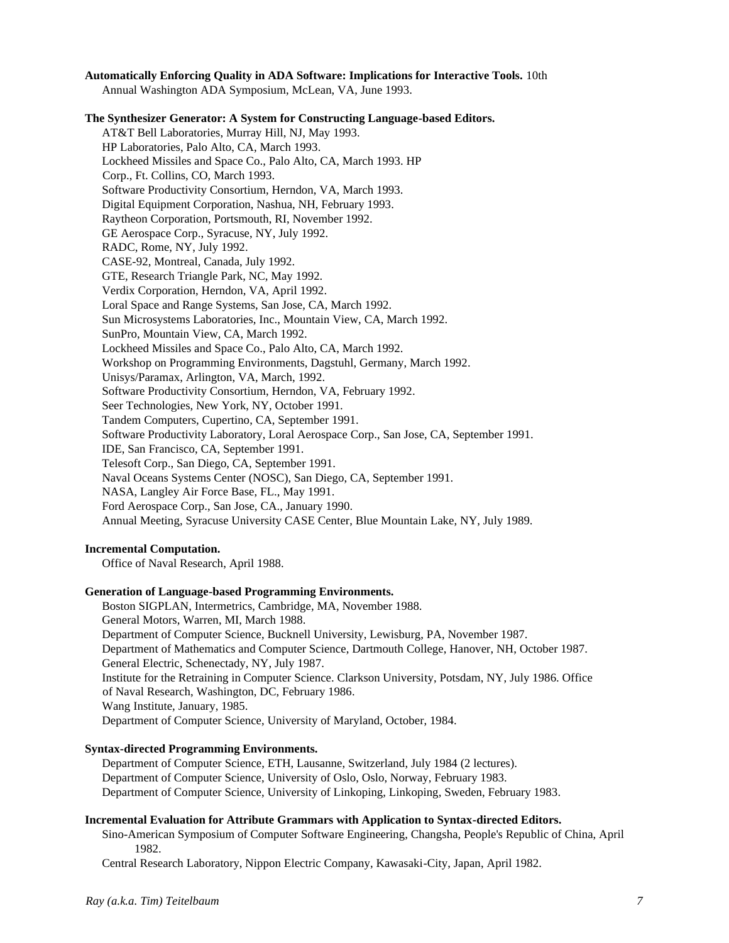# **Automatically Enforcing Quality in ADA Software: Implications for Interactive Tools.** 10th

Annual Washington ADA Symposium, McLean, VA, June 1993.

**The Synthesizer Generator: A System for Constructing Language-based Editors.**  AT&T Bell Laboratories, Murray Hill, NJ, May 1993. HP Laboratories, Palo Alto, CA, March 1993. Lockheed Missiles and Space Co., Palo Alto, CA, March 1993. HP Corp., Ft. Collins, CO, March 1993. Software Productivity Consortium, Herndon, VA, March 1993. Digital Equipment Corporation, Nashua, NH, February 1993. Raytheon Corporation, Portsmouth, RI, November 1992. GE Aerospace Corp., Syracuse, NY, July 1992. RADC, Rome, NY, July 1992. CASE-92, Montreal, Canada, July 1992. GTE, Research Triangle Park, NC, May 1992. Verdix Corporation, Herndon, VA, April 1992. Loral Space and Range Systems, San Jose, CA, March 1992. Sun Microsystems Laboratories, Inc., Mountain View, CA, March 1992. SunPro, Mountain View, CA, March 1992. Lockheed Missiles and Space Co., Palo Alto, CA, March 1992. Workshop on Programming Environments, Dagstuhl, Germany, March 1992. Unisys/Paramax, Arlington, VA, March, 1992. Software Productivity Consortium, Herndon, VA, February 1992. Seer Technologies, New York, NY, October 1991. Tandem Computers, Cupertino, CA, September 1991. Software Productivity Laboratory, Loral Aerospace Corp., San Jose, CA, September 1991. IDE, San Francisco, CA, September 1991. Telesoft Corp., San Diego, CA, September 1991. Naval Oceans Systems Center (NOSC), San Diego, CA, September 1991. NASA, Langley Air Force Base, FL., May 1991. Ford Aerospace Corp., San Jose, CA., January 1990. Annual Meeting, Syracuse University CASE Center, Blue Mountain Lake, NY, July 1989.

## **Incremental Computation.**

Office of Naval Research, April 1988.

## **Generation of Language-based Programming Environments.**

Boston SIGPLAN, Intermetrics, Cambridge, MA, November 1988. General Motors, Warren, MI, March 1988. Department of Computer Science, Bucknell University, Lewisburg, PA, November 1987. Department of Mathematics and Computer Science, Dartmouth College, Hanover, NH, October 1987. General Electric, Schenectady, NY, July 1987. Institute for the Retraining in Computer Science. Clarkson University, Potsdam, NY, July 1986. Office of Naval Research, Washington, DC, February 1986. Wang Institute, January, 1985. Department of Computer Science, University of Maryland, October, 1984.

# **Syntax-directed Programming Environments.**

Department of Computer Science, ETH, Lausanne, Switzerland, July 1984 (2 lectures). Department of Computer Science, University of Oslo, Oslo, Norway, February 1983. Department of Computer Science, University of Linkoping, Linkoping, Sweden, February 1983.

## **Incremental Evaluation for Attribute Grammars with Application to Syntax-directed Editors.**

Sino-American Symposium of Computer Software Engineering, Changsha, People's Republic of China, April 1982.

Central Research Laboratory, Nippon Electric Company, Kawasaki-City, Japan, April 1982.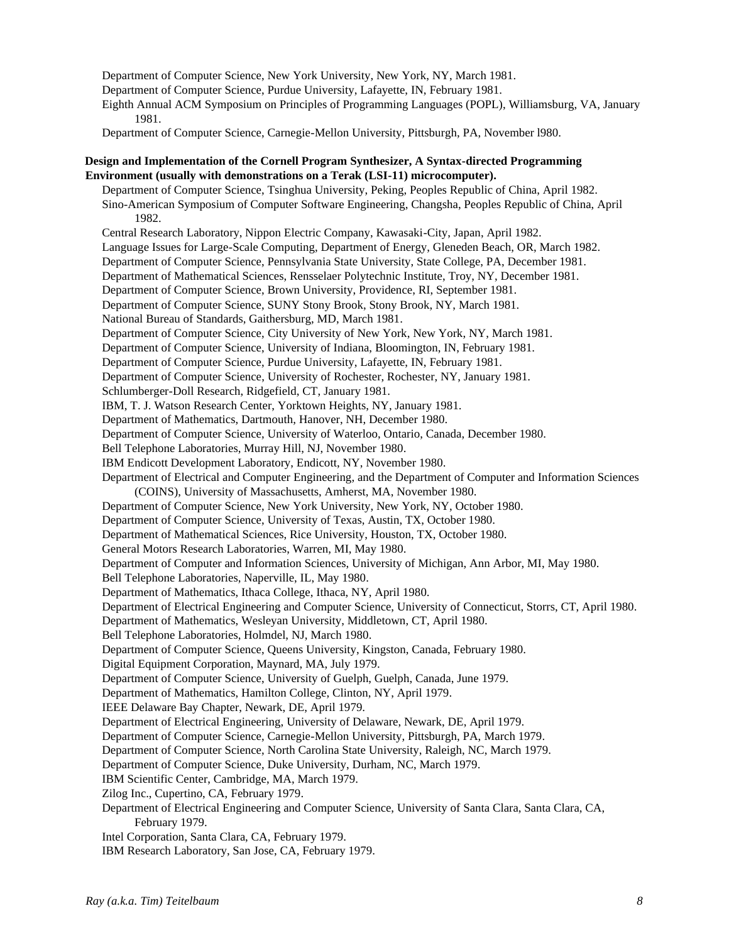Department of Computer Science, New York University, New York, NY, March 1981. Department of Computer Science, Purdue University, Lafayette, IN, February 1981. Eighth Annual ACM Symposium on Principles of Programming Languages (POPL), Williamsburg, VA, January 1981. Department of Computer Science, Carnegie-Mellon University, Pittsburgh, PA, November l980. **Design and Implementation of the Cornell Program Synthesizer, A Syntax-directed Programming Environment (usually with demonstrations on a Terak (LSI-11) microcomputer).**  Department of Computer Science, Tsinghua University, Peking, Peoples Republic of China, April 1982. Sino-American Symposium of Computer Software Engineering, Changsha, Peoples Republic of China, April 1982. Central Research Laboratory, Nippon Electric Company, Kawasaki-City, Japan, April 1982. Language Issues for Large-Scale Computing, Department of Energy, Gleneden Beach, OR, March 1982. Department of Computer Science, Pennsylvania State University, State College, PA, December 1981. Department of Mathematical Sciences, Rensselaer Polytechnic Institute, Troy, NY, December 1981. Department of Computer Science, Brown University, Providence, RI, September 1981. Department of Computer Science, SUNY Stony Brook, Stony Brook, NY, March 1981. National Bureau of Standards, Gaithersburg, MD, March 1981. Department of Computer Science, City University of New York, New York, NY, March 1981. Department of Computer Science, University of Indiana, Bloomington, IN, February 1981. Department of Computer Science, Purdue University, Lafayette, IN, February 1981. Department of Computer Science, University of Rochester, Rochester, NY, January 1981. Schlumberger-Doll Research, Ridgefield, CT, January 1981. IBM, T. J. Watson Research Center, Yorktown Heights, NY, January 1981. Department of Mathematics, Dartmouth, Hanover, NH, December 1980. Department of Computer Science, University of Waterloo, Ontario, Canada, December 1980. Bell Telephone Laboratories, Murray Hill, NJ, November 1980. IBM Endicott Development Laboratory, Endicott, NY, November 1980. Department of Electrical and Computer Engineering, and the Department of Computer and Information Sciences (COINS), University of Massachusetts, Amherst, MA, November 1980. Department of Computer Science, New York University, New York, NY, October 1980. Department of Computer Science, University of Texas, Austin, TX, October 1980. Department of Mathematical Sciences, Rice University, Houston, TX, October 1980. General Motors Research Laboratories, Warren, MI, May 1980. Department of Computer and Information Sciences, University of Michigan, Ann Arbor, MI, May 1980. Bell Telephone Laboratories, Naperville, IL, May 1980. Department of Mathematics, Ithaca College, Ithaca, NY, April 1980. Department of Electrical Engineering and Computer Science, University of Connecticut, Storrs, CT, April 1980. Department of Mathematics, Wesleyan University, Middletown, CT, April 1980. Bell Telephone Laboratories, Holmdel, NJ, March 1980. Department of Computer Science, Queens University, Kingston, Canada, February 1980. Digital Equipment Corporation, Maynard, MA, July 1979. Department of Computer Science, University of Guelph, Guelph, Canada, June 1979. Department of Mathematics, Hamilton College, Clinton, NY, April 1979. IEEE Delaware Bay Chapter, Newark, DE, April 1979. Department of Electrical Engineering, University of Delaware, Newark, DE, April 1979. Department of Computer Science, Carnegie-Mellon University, Pittsburgh, PA, March 1979. Department of Computer Science, North Carolina State University, Raleigh, NC, March 1979. Department of Computer Science, Duke University, Durham, NC, March 1979. IBM Scientific Center, Cambridge, MA, March 1979. Zilog Inc., Cupertino, CA, February 1979. Department of Electrical Engineering and Computer Science, University of Santa Clara, Santa Clara, CA, February 1979. Intel Corporation, Santa Clara, CA, February 1979.

IBM Research Laboratory, San Jose, CA, February 1979.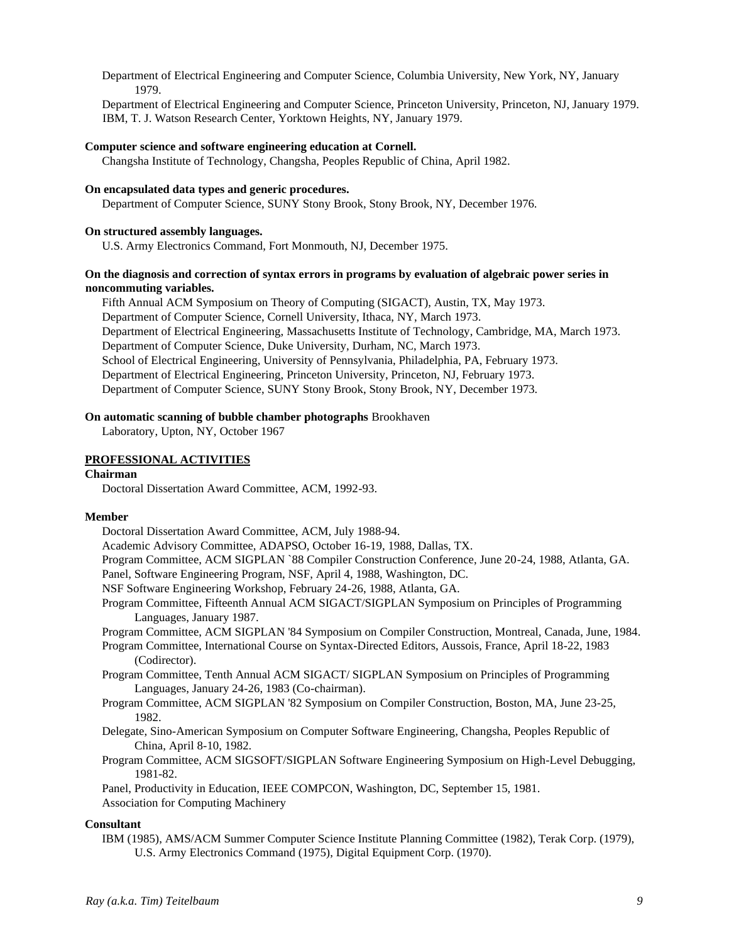Department of Electrical Engineering and Computer Science, Columbia University, New York, NY, January 1979.

Department of Electrical Engineering and Computer Science, Princeton University, Princeton, NJ, January 1979. IBM, T. J. Watson Research Center, Yorktown Heights, NY, January 1979.

#### **Computer science and software engineering education at Cornell.**

Changsha Institute of Technology, Changsha, Peoples Republic of China, April 1982.

# **On encapsulated data types and generic procedures.**

Department of Computer Science, SUNY Stony Brook, Stony Brook, NY, December 1976.

#### **On structured assembly languages.**

U.S. Army Electronics Command, Fort Monmouth, NJ, December 1975.

# **On the diagnosis and correction of syntax errors in programs by evaluation of algebraic power series in noncommuting variables.**

Fifth Annual ACM Symposium on Theory of Computing (SIGACT), Austin, TX, May 1973. Department of Computer Science, Cornell University, Ithaca, NY, March 1973. Department of Electrical Engineering, Massachusetts Institute of Technology, Cambridge, MA, March 1973. Department of Computer Science, Duke University, Durham, NC, March 1973. School of Electrical Engineering, University of Pennsylvania, Philadelphia, PA, February 1973. Department of Electrical Engineering, Princeton University, Princeton, NJ, February 1973. Department of Computer Science, SUNY Stony Brook, Stony Brook, NY, December 1973.

#### **On automatic scanning of bubble chamber photographs** Brookhaven

Laboratory, Upton, NY, October 1967

#### **PROFESSIONAL ACTIVITIES**

# **Chairman**

Doctoral Dissertation Award Committee, ACM, 1992-93.

#### **Member**

Doctoral Dissertation Award Committee, ACM, July 1988-94. Academic Advisory Committee, ADAPSO, October 16-19, 1988, Dallas, TX. Program Committee, ACM SIGPLAN `88 Compiler Construction Conference, June 20-24, 1988, Atlanta, GA. Panel, Software Engineering Program, NSF, April 4, 1988, Washington, DC. NSF Software Engineering Workshop, February 24-26, 1988, Atlanta, GA. Program Committee, Fifteenth Annual ACM SIGACT/SIGPLAN Symposium on Principles of Programming Languages, January 1987. Program Committee, ACM SIGPLAN '84 Symposium on Compiler Construction, Montreal, Canada, June, 1984. Program Committee, International Course on Syntax-Directed Editors, Aussois, France, April 18-22, 1983 (Codirector). Program Committee, Tenth Annual ACM SIGACT/ SIGPLAN Symposium on Principles of Programming Languages, January 24-26, 1983 (Co-chairman). Program Committee, ACM SIGPLAN '82 Symposium on Compiler Construction, Boston, MA, June 23-25, 1982. Delegate, Sino-American Symposium on Computer Software Engineering, Changsha, Peoples Republic of China, April 8-10, 1982. Program Committee, ACM SIGSOFT/SIGPLAN Software Engineering Symposium on High-Level Debugging, 1981-82. Panel, Productivity in Education, IEEE COMPCON, Washington, DC, September 15, 1981. Association for Computing Machinery **Consultant**  IBM (1985), AMS/ACM Summer Computer Science Institute Planning Committee (1982), Terak Corp. (1979),

U.S. Army Electronics Command (1975), Digital Equipment Corp. (1970).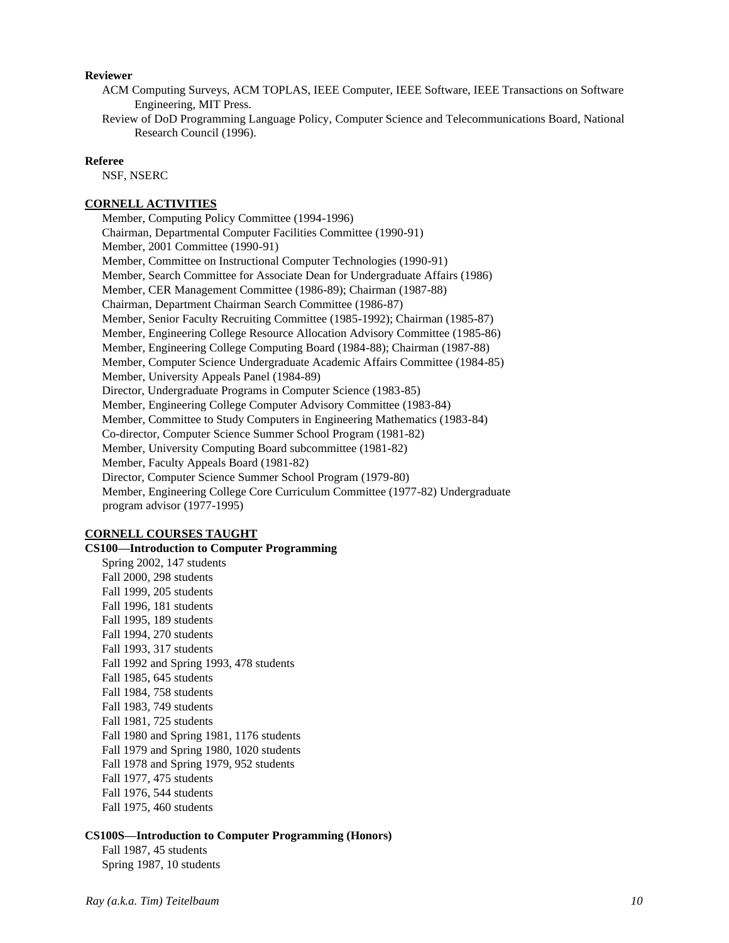## **Reviewer**

- ACM Computing Surveys, ACM TOPLAS, IEEE Computer, IEEE Software, IEEE Transactions on Software Engineering, MIT Press.
- Review of DoD Programming Language Policy, Computer Science and Telecommunications Board, National Research Council (1996).

#### **Referee**

NSF, NSERC

## **CORNELL ACTIVITIES**

Member, Computing Policy Committee (1994-1996) Chairman, Departmental Computer Facilities Committee (1990-91) Member, 2001 Committee (1990-91) Member, Committee on Instructional Computer Technologies (1990-91) Member, Search Committee for Associate Dean for Undergraduate Affairs (1986) Member, CER Management Committee (1986-89); Chairman (1987-88) Chairman, Department Chairman Search Committee (1986-87) Member, Senior Faculty Recruiting Committee (1985-1992); Chairman (1985-87) Member, Engineering College Resource Allocation Advisory Committee (1985-86) Member, Engineering College Computing Board (1984-88); Chairman (1987-88) Member, Computer Science Undergraduate Academic Affairs Committee (1984-85) Member, University Appeals Panel (1984-89) Director, Undergraduate Programs in Computer Science (1983-85) Member, Engineering College Computer Advisory Committee (1983-84) Member, Committee to Study Computers in Engineering Mathematics (1983-84) Co-director, Computer Science Summer School Program (1981-82) Member, University Computing Board subcommittee (1981-82) Member, Faculty Appeals Board (1981-82) Director, Computer Science Summer School Program (1979-80) Member, Engineering College Core Curriculum Committee (1977-82) Undergraduate program advisor (1977-1995)

#### **CORNELL COURSES TAUGHT**

**CS100—Introduction to Computer Programming**  Spring 2002, 147 students Fall 2000, 298 students Fall 1999, 205 students Fall 1996, 181 students Fall 1995, 189 students Fall 1994, 270 students Fall 1993, 317 students Fall 1992 and Spring 1993, 478 students Fall 1985, 645 students Fall 1984, 758 students Fall 1983, 749 students Fall 1981, 725 students Fall 1980 and Spring 1981, 1176 students Fall 1979 and Spring 1980, 1020 students Fall 1978 and Spring 1979, 952 students Fall 1977, 475 students Fall 1976, 544 students Fall 1975, 460 students

## **CS100S—Introduction to Computer Programming (Honors)**

Fall 1987, 45 students Spring 1987, 10 students